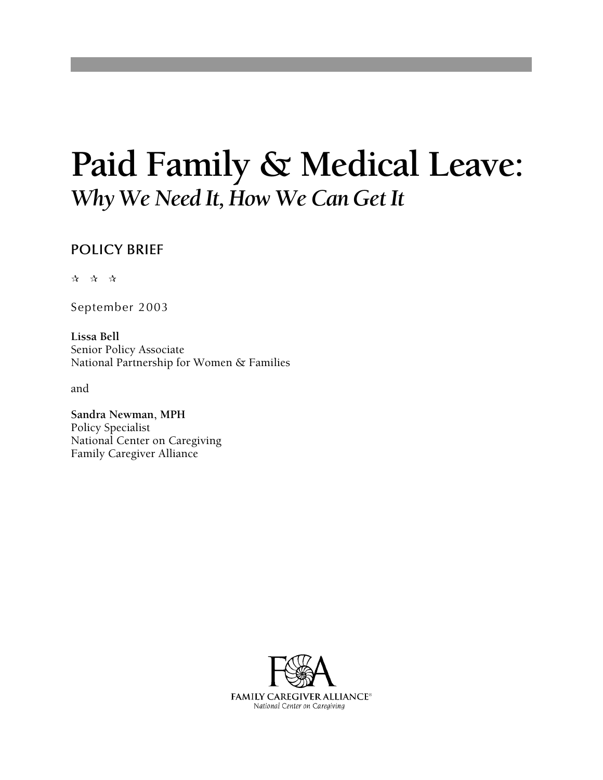# **Paid Family & Medical Leave:**  *Why We Need It, How We Can Get It*

### POLICY BRIEF

☆ ☆ ☆

September 2003

**Lissa Bell**  Senior Policy Associate National Partnership for Women & Families

and

**Sandra Newman, MPH**  Policy Specialist National Center on Caregiving Family Caregiver Alliance

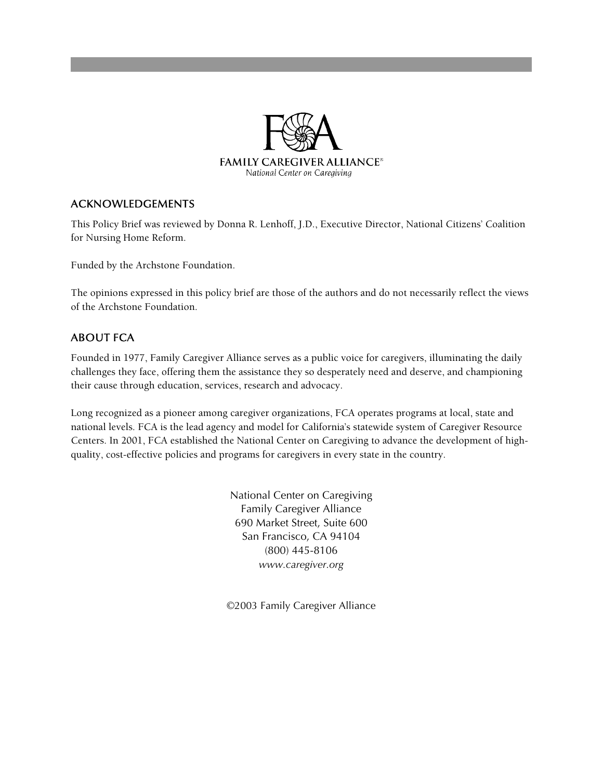

#### ACKNOWLEDGEMENTS

This Policy Brief was reviewed by Donna R. Lenhoff, J.D., Executive Director, National Citizens' Coalition for Nursing Home Reform.

Funded by the Archstone Foundation.

The opinions expressed in this policy brief are those of the authors and do not necessarily reflect the views of the Archstone Foundation.

#### ABOUT FCA

Founded in 1977, Family Caregiver Alliance serves as a public voice for caregivers, illuminating the daily challenges they face, offering them the assistance they so desperately need and deserve, and championing their cause through education, services, research and advocacy.

Long recognized as a pioneer among caregiver organizations, FCA operates programs at local, state and national levels. FCA is the lead agency and model for California's statewide system of Caregiver Resource Centers. In 2001, FCA established the National Center on Caregiving to advance the development of highquality, cost-effective policies and programs for caregivers in every state in the country.

> National Center on Caregiving Family Caregiver Alliance 690 Market Street, Suite 600 San Francisco, CA 94104 (800) 445-8106 *www.caregiver.org*

©2003 Family Caregiver Alliance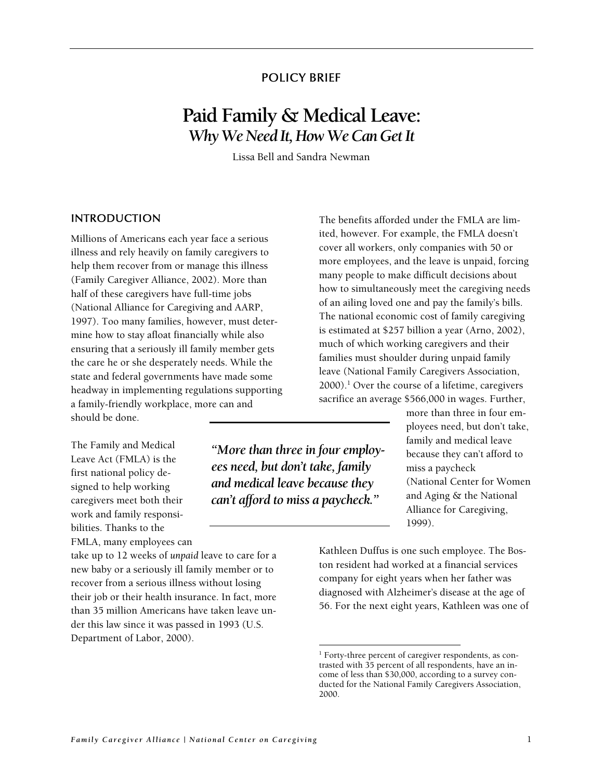#### POLICY BRIEF

## **Paid Family & Medical Leave:** *Why We Need It, How We Can Get It*

Lissa Bell and Sandra Newman

*"More than three in four employees need, but don't take, family and medical leave because they can't afford to miss a paycheck."* 

 $\overline{a}$ 

Millions of Americans each year face a serious illness and rely heavily on family caregivers to help them recover from or manage this illness (Family Caregiver Alliance, 2002). More than half of these caregivers have full-time jobs (National Alliance for Caregiving and AARP, 1997). Too many families, however, must determine how to stay afloat financially while also ensuring that a seriously ill family member gets the care he or she desperately needs. While the state and federal governments have made some headway in implementing regulations supporting a family-friendly workplace, more can and should be done.

The Family and Medical Leave Act (FMLA) is the first national policy designed to help working caregivers meet both their work and family responsibilities. Thanks to the FMLA, many employees can

take up to 12 weeks of *unpaid* leave to care for a new baby or a seriously ill family member or to recover from a serious illness without losing their job or their health insurance. In fact, more than 35 million Americans have taken leave under this law since it was passed in 1993 (U.S. Department of Labor, 2000).

INTRODUCTION The benefits afforded under the FMLA are limited, however. For example, the FMLA doesn't cover all workers, only companies with 50 or more employees, and the leave is unpaid, forcing many people to make difficult decisions about how to simultaneously meet the caregiving needs of an ailing loved one and pay the family's bills. The national economic cost of family caregiving is estimated at \$257 billion a year (Arno, 2002), much of which working caregivers and their families must shoulder during unpaid family leave (National Family Caregivers Association, 2000).[1](#page-2-0) Over the course of a lifetime, caregivers sacrifice an average \$566,000 in wages. Further,

> more than three in four employees need, but don't take, family and medical leave because they can't afford to miss a paycheck (National Center for Women and Aging & the National Alliance for Caregiving, 1999).

Kathleen Duffus is one such employee. The Boston resident had worked at a financial services company for eight years when her father was diagnosed with Alzheimer's disease at the age of 56. For the next eight years, Kathleen was one of

<span id="page-2-0"></span><sup>&</sup>lt;sup>1</sup> Forty-three percent of caregiver respondents, as contrasted with 35 percent of all respondents, have an income of less than \$30,000, according to a survey conducted for the National Family Caregivers Association, 2000.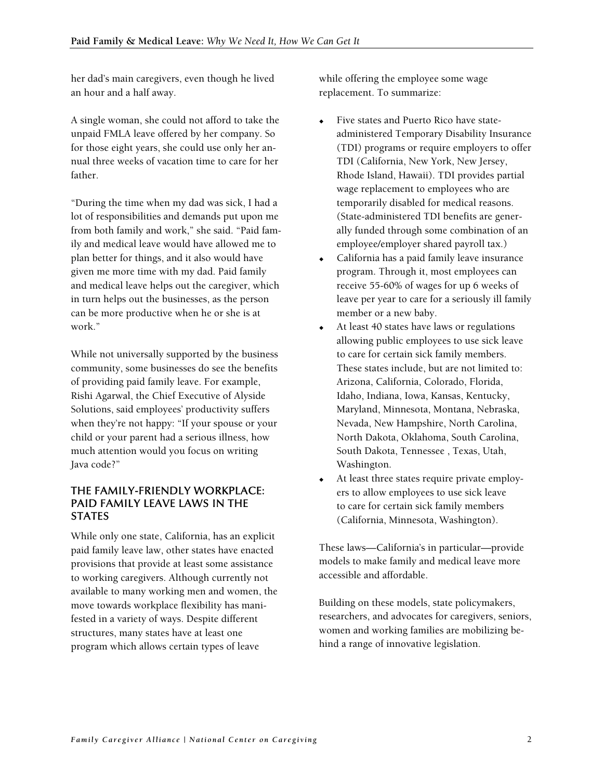her dad's main caregivers, even though he lived an hour and a half away.

A single woman, she could not afford to take the unpaid FMLA leave offered by her company. So for those eight years, she could use only her annual three weeks of vacation time to care for her father.

"During the time when my dad was sick, I had a lot of responsibilities and demands put upon me from both family and work," she said. "Paid family and medical leave would have allowed me to plan better for things, and it also would have given me more time with my dad. Paid family and medical leave helps out the caregiver, which in turn helps out the businesses, as the person can be more productive when he or she is at work."

While not universally supported by the business community, some businesses do see the benefits of providing paid family leave. For example, Rishi Agarwal, the Chief Executive of Alyside Solutions, said employees' productivity suffers when they're not happy: "If your spouse or your child or your parent had a serious illness, how much attention would you focus on writing Java code?"

#### THE FAMILY-FRIENDLY WORKPLACE: PAID FAMILY LEAVE LAWS IN THE **STATES**

While only one state, California, has an explicit paid family leave law, other states have enacted provisions that provide at least some assistance to working caregivers. Although currently not available to many working men and women, the move towards workplace flexibility has manifested in a variety of ways. Despite different structures, many states have at least one program which allows certain types of leave

while offering the employee some wage replacement. To summarize:

- Five states and Puerto Rico have stateadministered Temporary Disability Insurance (TDI) programs or require employers to offer TDI (California, New York, New Jersey, Rhode Island, Hawaii). TDI provides partial wage replacement to employees who are temporarily disabled for medical reasons. (State-administered TDI benefits are generally funded through some combination of an employee/employer shared payroll tax.)
- California has a paid family leave insurance program. Through it, most employees can receive 55-60% of wages for up 6 weeks of leave per year to care for a seriously ill family member or a new baby.
- At least 40 states have laws or regulations allowing public employees to use sick leave to care for certain sick family members. These states include, but are not limited to: Arizona, California, Colorado, Florida, Idaho, Indiana, Iowa, Kansas, Kentucky, Maryland, Minnesota, Montana, Nebraska, Nevada, New Hampshire, North Carolina, North Dakota, Oklahoma, South Carolina, South Dakota, Tennessee , Texas, Utah, Washington.
- At least three states require private employers to allow employees to use sick leave to care for certain sick family members (California, Minnesota, Washington).

These laws—California's in particular—provide models to make family and medical leave more accessible and affordable.

Building on these models, state policymakers, researchers, and advocates for caregivers, seniors, women and working families are mobilizing behind a range of innovative legislation.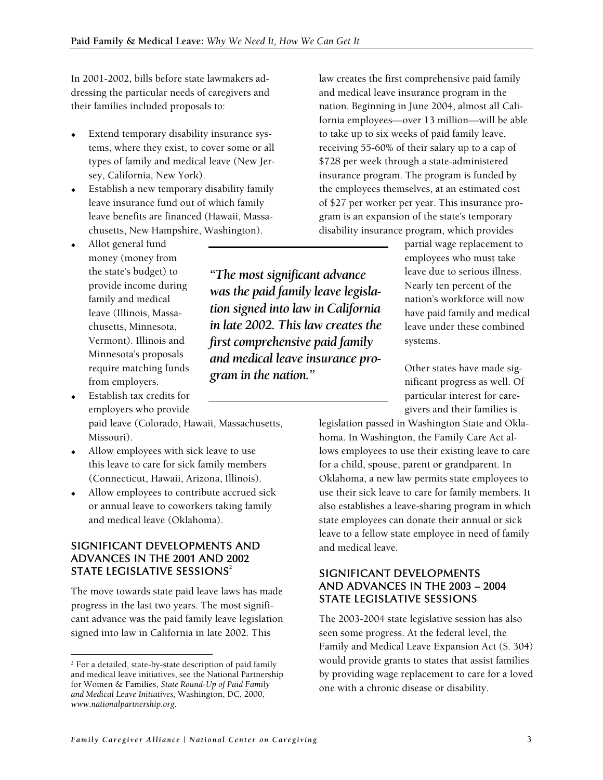In 2001-2002, bills before state lawmakers addressing the particular needs of caregivers and their families included proposals to:

- Extend temporary disability insurance systems, where they exist, to cover some or all types of family and medical leave (New Jersey, California, New York).
- Establish a new temporary disability family leave insurance fund out of which family leave benefits are financed (Hawaii, Massachusetts, New Hampshire, Washington).
- Allot general fund money (money from the state's budget) to provide income during family and medical leave (Illinois, Massachusetts, Minnesota, Vermont). Illinois and Minnesota's proposals require matching funds from employers.
- Establish tax credits for employers who provide

 $\overline{a}$ 

paid leave (Colorado, Hawaii, Massachusetts, Missouri).

- Allow employees with sick leave to use this leave to care for sick family members (Connecticut, Hawaii, Arizona, Illinois).
- Allow employees to contribute accrued sick or annual leave to coworkers taking family and medical leave (Oklahoma).

#### SIGNIFICANT DEVELOPMENTS AND ADVANCES IN THE 2001 AND 2002 STATELEGISLATIVE SESSIONS $^{\rm 2}$

The move towards state paid leave laws has made progress in the last two years. The most significant advance was the paid family leave legislation signed into law in California in late 2002. This

*"The most significant advance was the paid family leave legislation signed into law in California in late 2002. This law creates the first comprehensive paid family and medical leave insurance program in the nation."* 

law creates the first comprehensive paid family and medical leave insurance program in the nation. Beginning in June 2004, almost all California employees—over 13 million—will be able to take up to six weeks of paid family leave, receiving 55-60% of their salary up to a cap of \$728 per week through a state-administered insurance program. The program is funded by the employees themselves, at an estimated co st of \$27 per worker per year. This insurance program is an expansion of the state's temporary disability insurance program, which provides

> partial wage replacement to employees who must take leave due to serious illness. Nearly ten percent of the nation's workforce will now have paid family and medical leave under these combined systems.

Other states have made significant progress as well. Of particular interest for caregivers and their families is

legislation passed in Washington State and Oklahoma. In Washington, the Family Care Act allows employees to use their existing leave to care for a child, spouse, parent or grandparent. In Oklahoma, a new law permits state employees to use their sick leave to care for family members. It also establishes a leave-sharing program in which state employees can donate their annual or sick leave to a fellow state employee in need of family and medical leave.

#### SIGNIFICANT DEVELOPMENTS AND ADVANCES IN THE 2003 – 2004 STATE LEGISLATIVE SESSIONS

The 2003-2004 state legislative session has also seen some progress. At the federal level, the Family and Medical Leave Expansion Act (S. 304) would provide grants to states that assist families by providing wage replacement to care for a loved one with a chronic disease or disability.

<span id="page-4-0"></span><sup>&</sup>lt;sup>2</sup> For a detailed, state-by-state description of paid family and medical leave initiatives, see the National Partnership for Women & Families, *State Round-Up of Paid Family and Medical Leave Initiatives,* Washington, DC, 2000, *[www.nationalpartnership.org](http://www.nationalpartnership.org/).*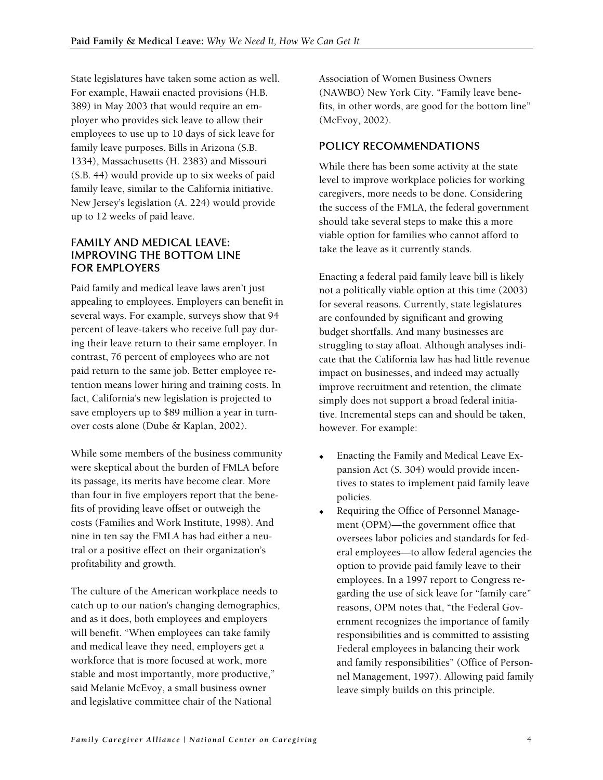State legislatures have taken some action as well. For example, Hawaii enacted provisions (H.B. 389) in May 2003 that would require an employer who provides sick leave to allow their employees to use up to 10 days of sick leave for family leave purposes. Bills in Arizona (S.B. 1334), Massachusetts (H. 2383) and Missouri (S.B. 44) would provide up to six weeks of paid family leave, similar to the California initiative. New Jersey's legislation (A. 224) would provide up to 12 weeks of paid leave.

#### FAMILY AND MEDICAL LEAVE: IMPROVING THE BOTTOM LINE FOR EMPLOYERS

Paid family and medical leave laws aren't just appealing to employees. Employers can benefit in several ways. For example, surveys show that 94 percent of leave-takers who receive full pay during their leave return to their same employer. In contrast, 76 percent of employees who are not paid return to the same job. Better employee retention means lower hiring and training costs. In fact, California's new legislation is projected to save employers up to \$89 million a year in turnover costs alone (Dube & Kaplan, 2002).

While some members of the business community were skeptical about the burden of FMLA before its passage, its merits have become clear. More than four in five employers report that the benefits of providing leave offset or outweigh the costs (Families and Work Institute, 1998). And nine in ten say the FMLA has had either a neutral or a positive effect on their organization's profitability and growth.

The culture of the American workplace needs to catch up to our nation's changing demographics, and as it does, both employees and employers will benefit. "When employees can take family and medical leave they need, employers get a workforce that is more focused at work, more stable and most importantly, more productive," said Melanie McEvoy, a small business owner and legislative committee chair of the National

Association of Women Business Owners (NAWBO) New York City. "Family leave benefits, in other words, are good for the bottom line" (McEvoy, 2002).

#### POLICY RECOMMENDATIONS

While there has been some activity at the state level to improve workplace policies for working caregivers, more needs to be done. Considering the success of the FMLA, the federal government should take several steps to make this a more viable option for families who cannot afford to take the leave as it currently stands.

Enacting a federal paid family leave bill is likely not a politically viable option at this time (2003) for several reasons. Currently, state legislatures are confounded by significant and growing budget shortfalls. And many businesses are struggling to stay afloat. Although analyses indicate that the California law has had little revenue impact on businesses, and indeed may actually improve recruitment and retention, the climate simply does not support a broad federal initiative. Incremental steps can and should be taken, however. For example:

- Enacting the Family and Medical Leave Expansion Act (S. 304) would provide incentives to states to implement paid family leave policies.
- Requiring the Office of Personnel Management (OPM)—the government office that oversees labor policies and standards for federal employees—to allow federal agencies the option to provide paid family leave to their employees. In a 1997 report to Congress regarding the use of sick leave for "family care" reasons, OPM notes that, "the Federal Government recognizes the importance of family responsibilities and is committed to assisting Federal employees in balancing their work and family responsibilities" (Office of Personnel Management, 1997). Allowing paid family leave simply builds on this principle.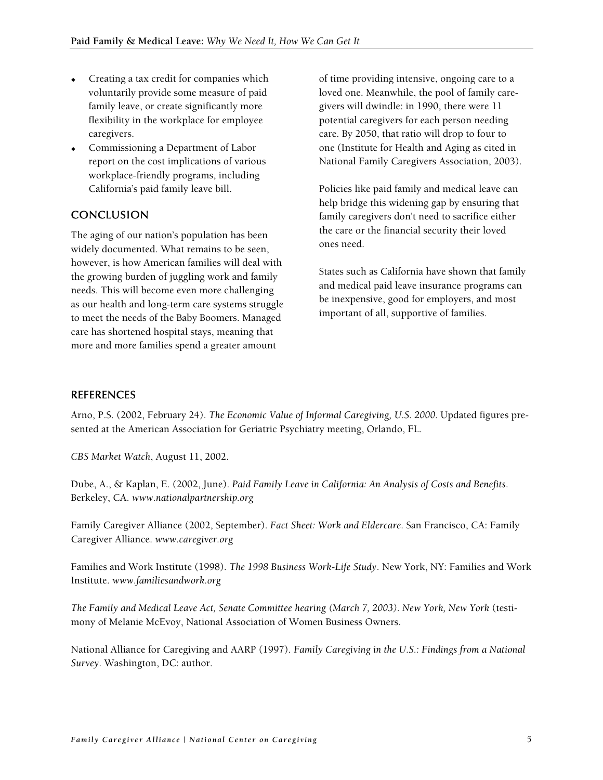- Creating a tax credit for companies which voluntarily provide some measure of paid family leave, or create significantly more flexibility in the workplace for employee caregivers.
- Commissioning a Department of Labor report on the cost implications of various workplace-friendly programs, including California's paid family leave bill.

#### **CONCLUSION**

The aging of our nation's population has been widely documented. What remains to be seen, however, is how American families will deal with the growing burden of juggling work and family needs. This will become even more challenging as our health and long-term care systems struggle to meet the needs of the Baby Boomers. Managed care has shortened hospital stays, meaning that more and more families spend a greater amount

of time providing intensive, ongoing care to a loved one. Meanwhile, the pool of family caregivers will dwindle: in 1990, there were 11 potential caregivers for each person needing care. By 2050, that ratio will drop to four to one (Institute for Health and Aging as cited in National Family Caregivers Association, 2003).

Policies like paid family and medical leave can help bridge this widening gap by ensuring that family caregivers don't need to sacrifice either the care or the financial security their loved ones need.

States such as California have shown that family and medical paid leave insurance programs can be inexpensive, good for employers, and most important of all, supportive of families.

#### REFERENCES

Arno, P.S. (2002, February 24). *The Economic Value of Informal Caregiving, U.S. 2000.* Updated figures presented at the American Association for Geriatric Psychiatry meeting, Orlando, FL.

*CBS Market Watch*, August 11, 2002.

Dube, A., & Kaplan, E. (2002, June). *Paid Family Leave in California: An Analysis of Costs and Benefits*. Berkeley, CA. *www.nationalpartnership.org*

Family Caregiver Alliance (2002, September). *Fact Sheet: Work and Eldercare*. San Francisco, CA: Family Caregiver Alliance. *www.caregiver.org*

Families and Work Institute (1998). *The 1998 Business Work-Life Study*. New York, NY: Families and Work Institute. *www.familiesandwork.org*

*The Family and Medical Leave Act, Senate Committee hearing (March 7, 2003). New York, New York* (testimony of Melanie McEvoy, National Association of Women Business Owners.

National Alliance for Caregiving and AARP (1997). *Family Caregiving in the U.S.: Findings from a National Survey.* Washington, DC: author.